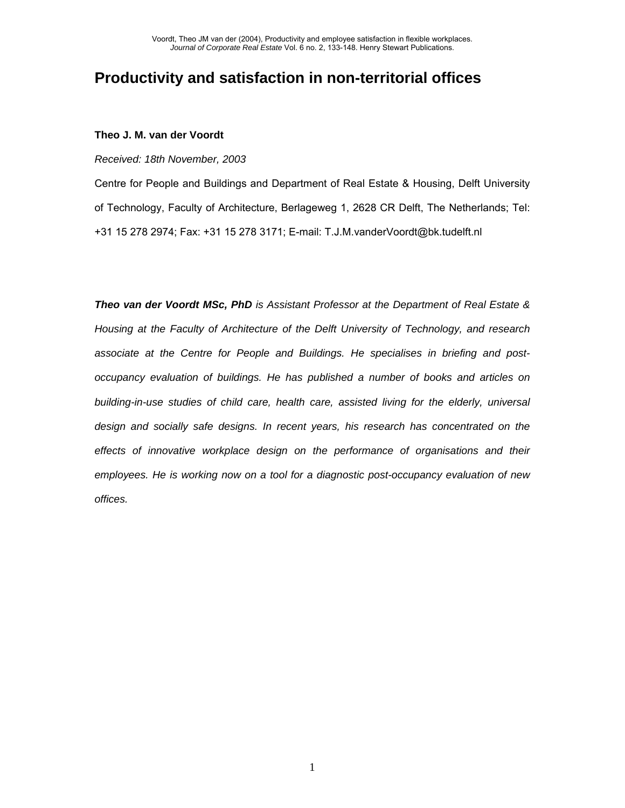# **Productivity and satisfaction in non-territorial offices**

## **Theo J. M. van der Voordt**

*Received: 18th November, 2003* 

Centre for People and Buildings and Department of Real Estate & Housing, Delft University of Technology, Faculty of Architecture, Berlageweg 1, 2628 CR Delft, The Netherlands; Tel: +31 15 278 2974; Fax: +31 15 278 3171; E-mail: T.J.M.vanderVoordt@bk.tudelft.nl

*Theo van der Voordt MSc, PhD is Assistant Professor at the Department of Real Estate & Housing at the Faculty of Architecture of the Delft University of Technology, and research associate at the Centre for People and Buildings. He specialises in briefing and postoccupancy evaluation of buildings. He has published a number of books and articles on building-in-use studies of child care, health care, assisted living for the elderly, universal design and socially safe designs. In recent years, his research has concentrated on the effects of innovative workplace design on the performance of organisations and their employees. He is working now on a tool for a diagnostic post-occupancy evaluation of new offices.*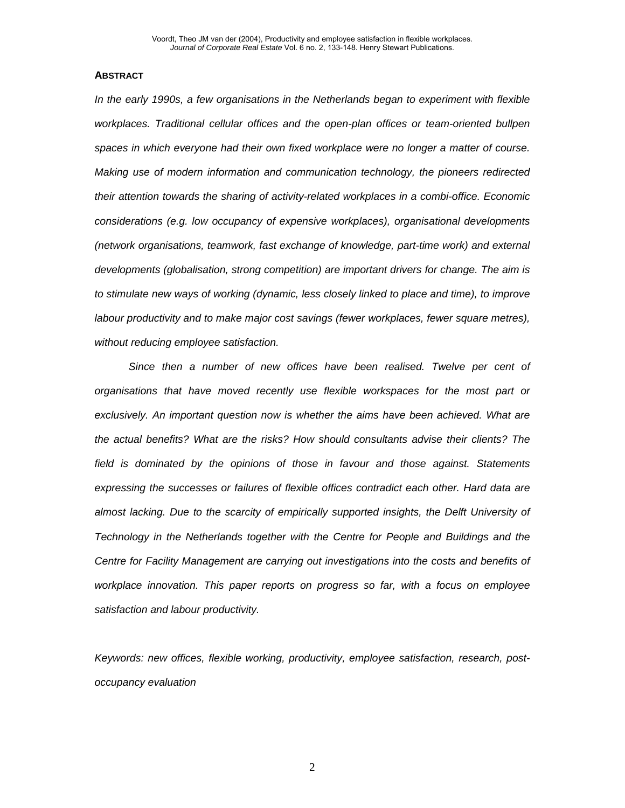#### **ABSTRACT**

*In the early 1990s, a few organisations in the Netherlands began to experiment with flexible workplaces. Traditional cellular offices and the open-plan offices or team-oriented bullpen spaces in which everyone had their own fixed workplace were no longer a matter of course. Making use of modern information and communication technology, the pioneers redirected their attention towards the sharing of activity-related workplaces in a combi-office. Economic considerations (e.g. low occupancy of expensive workplaces), organisational developments (network organisations, teamwork, fast exchange of knowledge, part-time work) and external developments (globalisation, strong competition) are important drivers for change. The aim is to stimulate new ways of working (dynamic, less closely linked to place and time), to improve labour productivity and to make major cost savings (fewer workplaces, fewer square metres), without reducing employee satisfaction.* 

Since then a number of new offices have been realised. Twelve per cent of *organisations that have moved recently use flexible workspaces for the most part or exclusively. An important question now is whether the aims have been achieved. What are the actual benefits? What are the risks? How should consultants advise their clients? The field is dominated by the opinions of those in favour and those against. Statements expressing the successes or failures of flexible offices contradict each other. Hard data are almost lacking. Due to the scarcity of empirically supported insights, the Delft University of Technology in the Netherlands together with the Centre for People and Buildings and the Centre for Facility Management are carrying out investigations into the costs and benefits of workplace innovation. This paper reports on progress so far, with a focus on employee satisfaction and labour productivity.* 

*Keywords: new offices, flexible working, productivity, employee satisfaction, research, postoccupancy evaluation*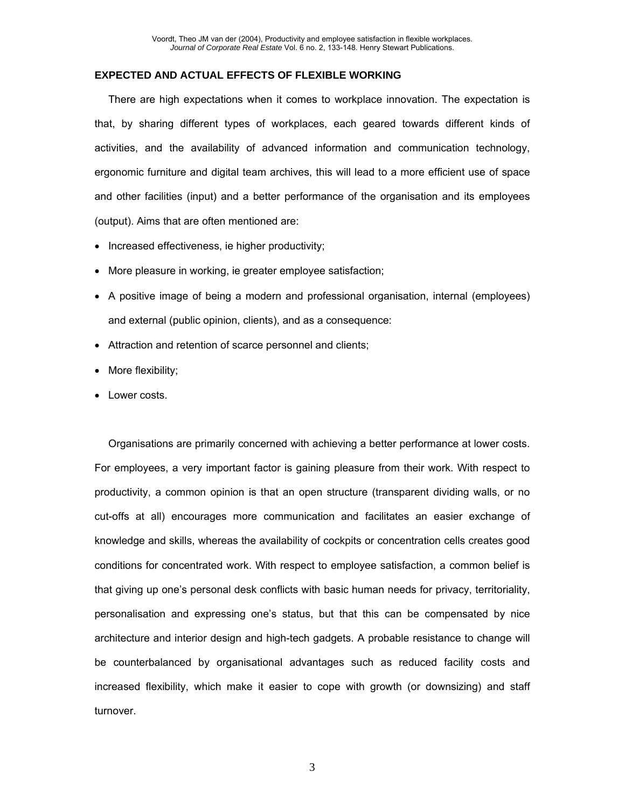### **EXPECTED AND ACTUAL EFFECTS OF FLEXIBLE WORKING**

There are high expectations when it comes to workplace innovation. The expectation is that, by sharing different types of workplaces, each geared towards different kinds of activities, and the availability of advanced information and communication technology, ergonomic furniture and digital team archives, this will lead to a more efficient use of space and other facilities (input) and a better performance of the organisation and its employees (output). Aims that are often mentioned are:

- Increased effectiveness, ie higher productivity;
- More pleasure in working, ie greater employee satisfaction;
- A positive image of being a modern and professional organisation, internal (employees) and external (public opinion, clients), and as a consequence:
- Attraction and retention of scarce personnel and clients;
- More flexibility;
- Lower costs.

Organisations are primarily concerned with achieving a better performance at lower costs. For employees, a very important factor is gaining pleasure from their work. With respect to productivity, a common opinion is that an open structure (transparent dividing walls, or no cut-offs at all) encourages more communication and facilitates an easier exchange of knowledge and skills, whereas the availability of cockpits or concentration cells creates good conditions for concentrated work. With respect to employee satisfaction, a common belief is that giving up one's personal desk conflicts with basic human needs for privacy, territoriality, personalisation and expressing one's status, but that this can be compensated by nice architecture and interior design and high-tech gadgets. A probable resistance to change will be counterbalanced by organisational advantages such as reduced facility costs and increased flexibility, which make it easier to cope with growth (or downsizing) and staff turnover.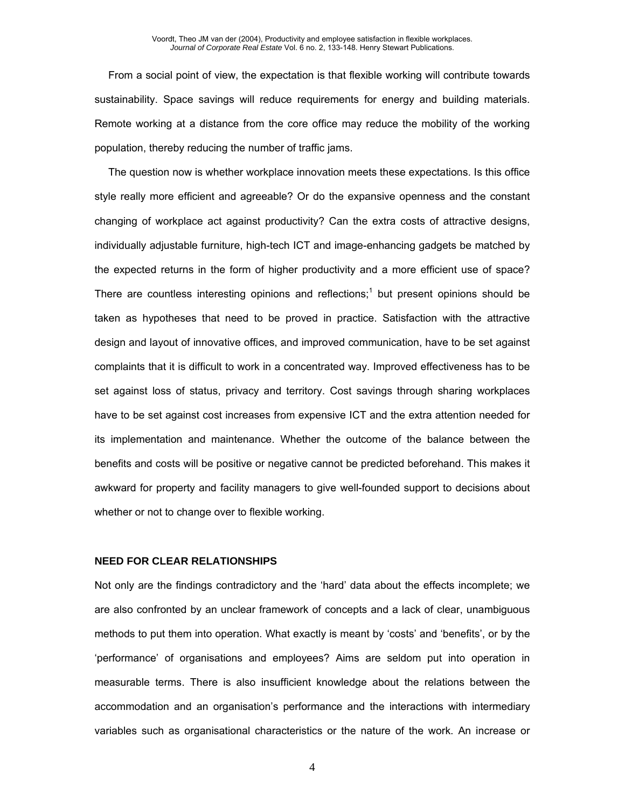From a social point of view, the expectation is that flexible working will contribute towards sustainability. Space savings will reduce requirements for energy and building materials. Remote working at a distance from the core office may reduce the mobility of the working population, thereby reducing the number of traffic jams.

The question now is whether workplace innovation meets these expectations. Is this office style really more efficient and agreeable? Or do the expansive openness and the constant changing of workplace act against productivity? Can the extra costs of attractive designs, individually adjustable furniture, high-tech ICT and image-enhancing gadgets be matched by the expected returns in the form of higher productivity and a more efficient use of space? There are countless interesting opinions and reflections;<sup>1</sup> but present opinions should be taken as hypotheses that need to be proved in practice. Satisfaction with the attractive design and layout of innovative offices, and improved communication, have to be set against complaints that it is difficult to work in a concentrated way. Improved effectiveness has to be set against loss of status, privacy and territory. Cost savings through sharing workplaces have to be set against cost increases from expensive ICT and the extra attention needed for its implementation and maintenance. Whether the outcome of the balance between the benefits and costs will be positive or negative cannot be predicted beforehand. This makes it awkward for property and facility managers to give well-founded support to decisions about whether or not to change over to flexible working.

# **NEED FOR CLEAR RELATIONSHIPS**

Not only are the findings contradictory and the 'hard' data about the effects incomplete; we are also confronted by an unclear framework of concepts and a lack of clear, unambiguous methods to put them into operation. What exactly is meant by 'costs' and 'benefits', or by the 'performance' of organisations and employees? Aims are seldom put into operation in measurable terms. There is also insufficient knowledge about the relations between the accommodation and an organisation's performance and the interactions with intermediary variables such as organisational characteristics or the nature of the work. An increase or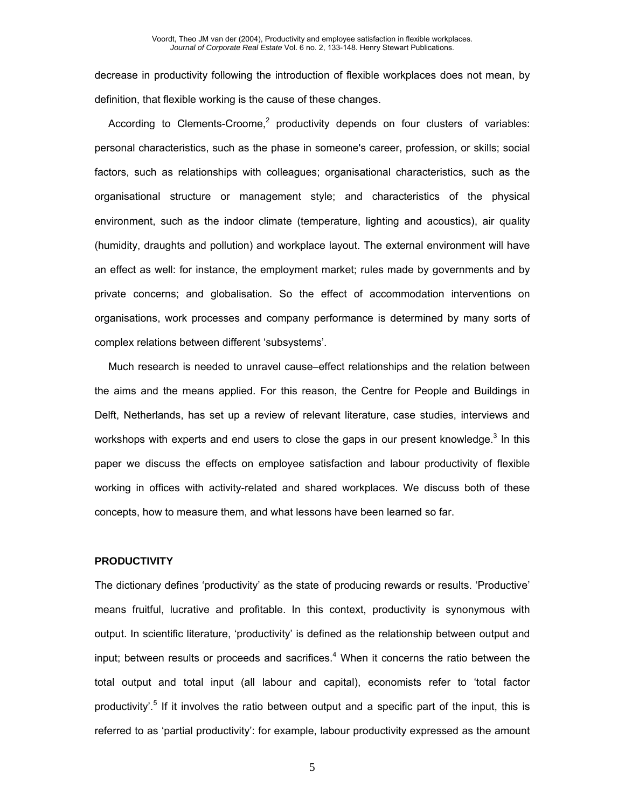decrease in productivity following the introduction of flexible workplaces does not mean, by definition, that flexible working is the cause of these changes.

According to Clements-Croome,<sup>2</sup> productivity depends on four clusters of variables: personal characteristics, such as the phase in someone's career, profession, or skills; social factors, such as relationships with colleagues; organisational characteristics, such as the organisational structure or management style; and characteristics of the physical environment, such as the indoor climate (temperature, lighting and acoustics), air quality (humidity, draughts and pollution) and workplace layout. The external environment will have an effect as well: for instance, the employment market; rules made by governments and by private concerns; and globalisation. So the effect of accommodation interventions on organisations, work processes and company performance is determined by many sorts of complex relations between different 'subsystems'.

Much research is needed to unravel cause–effect relationships and the relation between the aims and the means applied. For this reason, the Centre for People and Buildings in Delft, Netherlands, has set up a review of relevant literature, case studies, interviews and workshops with experts and end users to close the gaps in our present knowledge. $3$  In this paper we discuss the effects on employee satisfaction and labour productivity of flexible working in offices with activity-related and shared workplaces. We discuss both of these concepts, how to measure them, and what lessons have been learned so far.

# **PRODUCTIVITY**

The dictionary defines 'productivity' as the state of producing rewards or results. 'Productive' means fruitful, lucrative and profitable. In this context, productivity is synonymous with output. In scientific literature, 'productivity' is defined as the relationship between output and input; between results or proceeds and sacrifices.<sup>4</sup> When it concerns the ratio between the total output and total input (all labour and capital), economists refer to 'total factor productivity'.<sup>5</sup> If it involves the ratio between output and a specific part of the input, this is referred to as 'partial productivity': for example, labour productivity expressed as the amount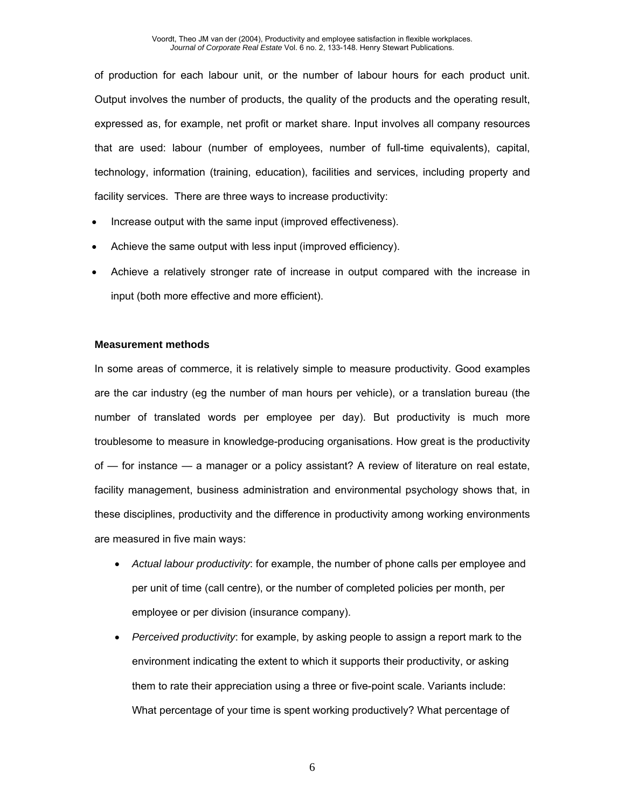of production for each labour unit, or the number of labour hours for each product unit. Output involves the number of products, the quality of the products and the operating result, expressed as, for example, net profit or market share. Input involves all company resources that are used: labour (number of employees, number of full-time equivalents), capital, technology, information (training, education), facilities and services, including property and facility services. There are three ways to increase productivity:

- Increase output with the same input (improved effectiveness).
- Achieve the same output with less input (improved efficiency).
- Achieve a relatively stronger rate of increase in output compared with the increase in input (both more effective and more efficient).

# **Measurement methods**

In some areas of commerce, it is relatively simple to measure productivity. Good examples are the car industry (eg the number of man hours per vehicle), or a translation bureau (the number of translated words per employee per day). But productivity is much more troublesome to measure in knowledge-producing organisations. How great is the productivity of — for instance — a manager or a policy assistant? A review of literature on real estate, facility management, business administration and environmental psychology shows that, in these disciplines, productivity and the difference in productivity among working environments are measured in five main ways:

- *Actual labour productivity*: for example, the number of phone calls per employee and per unit of time (call centre), or the number of completed policies per month, per employee or per division (insurance company).
- *Perceived productivity*: for example, by asking people to assign a report mark to the environment indicating the extent to which it supports their productivity, or asking them to rate their appreciation using a three or five-point scale. Variants include: What percentage of your time is spent working productively? What percentage of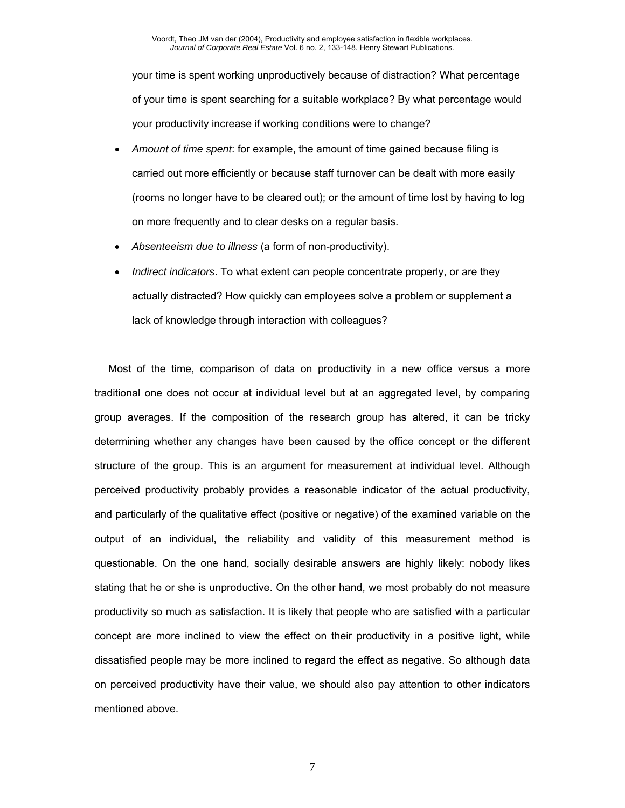your time is spent working unproductively because of distraction? What percentage of your time is spent searching for a suitable workplace? By what percentage would your productivity increase if working conditions were to change?

- *Amount of time spent*: for example, the amount of time gained because filing is carried out more efficiently or because staff turnover can be dealt with more easily (rooms no longer have to be cleared out); or the amount of time lost by having to log on more frequently and to clear desks on a regular basis.
- *Absenteeism due to illness* (a form of non-productivity).
- *Indirect indicators*. To what extent can people concentrate properly, or are they actually distracted? How quickly can employees solve a problem or supplement a lack of knowledge through interaction with colleagues?

Most of the time, comparison of data on productivity in a new office versus a more traditional one does not occur at individual level but at an aggregated level, by comparing group averages. If the composition of the research group has altered, it can be tricky determining whether any changes have been caused by the office concept or the different structure of the group. This is an argument for measurement at individual level. Although perceived productivity probably provides a reasonable indicator of the actual productivity, and particularly of the qualitative effect (positive or negative) of the examined variable on the output of an individual, the reliability and validity of this measurement method is questionable. On the one hand, socially desirable answers are highly likely: nobody likes stating that he or she is unproductive. On the other hand, we most probably do not measure productivity so much as satisfaction. It is likely that people who are satisfied with a particular concept are more inclined to view the effect on their productivity in a positive light, while dissatisfied people may be more inclined to regard the effect as negative. So although data on perceived productivity have their value, we should also pay attention to other indicators mentioned above.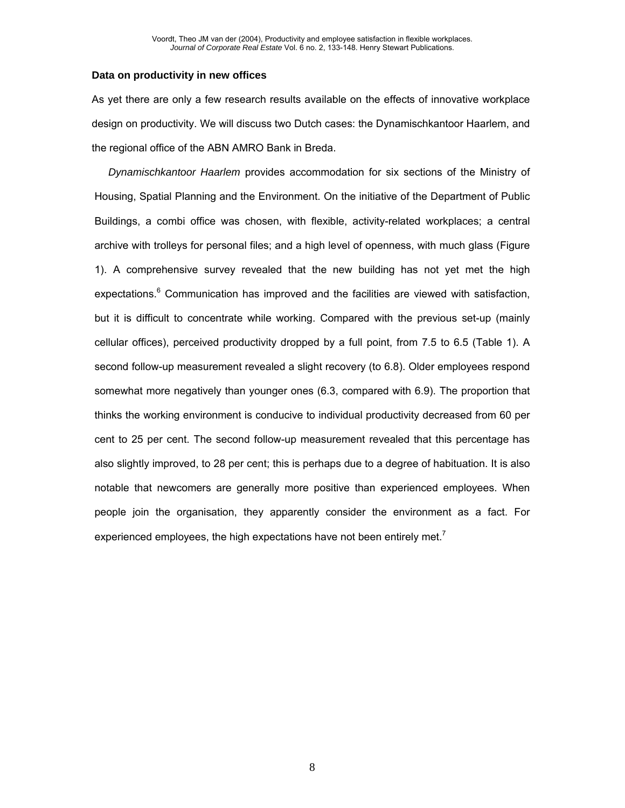#### **Data on productivity in new offices**

As yet there are only a few research results available on the effects of innovative workplace design on productivity. We will discuss two Dutch cases: the Dynamischkantoor Haarlem, and the regional office of the ABN AMRO Bank in Breda.

*Dynamischkantoor Haarlem* provides accommodation for six sections of the Ministry of Housing, Spatial Planning and the Environment. On the initiative of the Department of Public Buildings, a combi office was chosen, with flexible, activity-related workplaces; a central archive with trolleys for personal files; and a high level of openness, with much glass (Figure 1). A comprehensive survey revealed that the new building has not yet met the high expectations.<sup>6</sup> Communication has improved and the facilities are viewed with satisfaction, but it is difficult to concentrate while working. Compared with the previous set-up (mainly cellular offices), perceived productivity dropped by a full point, from 7.5 to 6.5 (Table 1). A second follow-up measurement revealed a slight recovery (to 6.8). Older employees respond somewhat more negatively than younger ones (6.3, compared with 6.9). The proportion that thinks the working environment is conducive to individual productivity decreased from 60 per cent to 25 per cent. The second follow-up measurement revealed that this percentage has also slightly improved, to 28 per cent; this is perhaps due to a degree of habituation. It is also notable that newcomers are generally more positive than experienced employees. When people join the organisation, they apparently consider the environment as a fact. For experienced employees, the high expectations have not been entirely met.<sup>7</sup>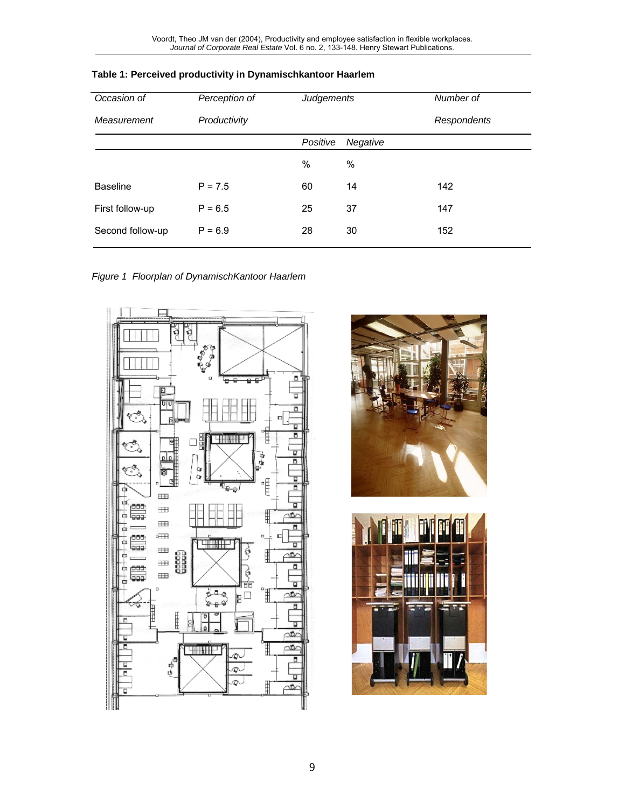| Occasion of      | Perception of | Judgements |          | Number of   |
|------------------|---------------|------------|----------|-------------|
| Measurement      | Productivity  |            |          | Respondents |
|                  |               | Positive   | Negative |             |
|                  |               | $\%$       | $\%$     |             |
| <b>Baseline</b>  | $P = 7.5$     | 60         | 14       | 142         |
| First follow-up  | $P = 6.5$     | 25         | 37       | 147         |
| Second follow-up | $P = 6.9$     | 28         | 30       | 152         |

# **Table 1: Perceived productivity in Dynamischkantoor Haarlem**

*Figure 1 Floorplan of DynamischKantoor Haarlem* 





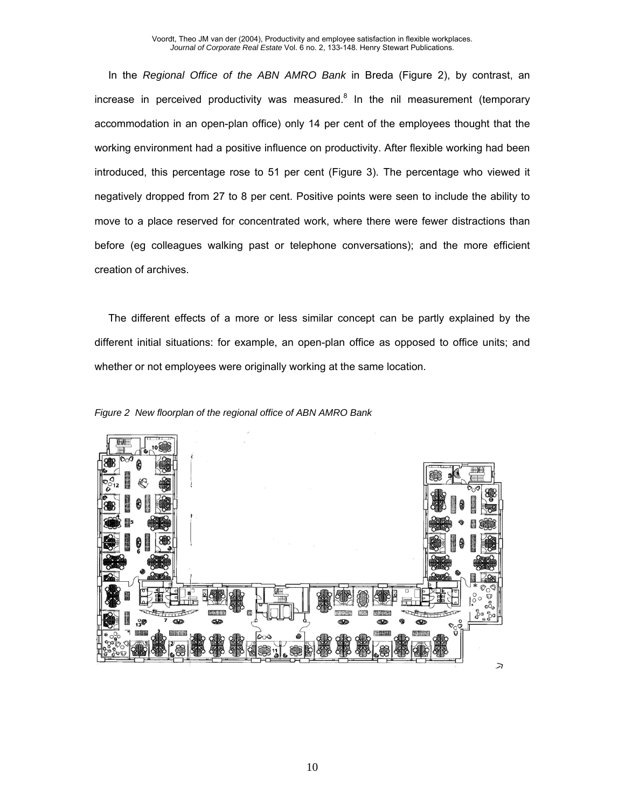In the *Regional Office of the ABN AMRO Bank* in Breda (Figure 2), by contrast, an increase in perceived productivity was measured.<sup>8</sup> In the nil measurement (temporary accommodation in an open-plan office) only 14 per cent of the employees thought that the working environment had a positive influence on productivity. After flexible working had been introduced, this percentage rose to 51 per cent (Figure 3). The percentage who viewed it negatively dropped from 27 to 8 per cent. Positive points were seen to include the ability to move to a place reserved for concentrated work, where there were fewer distractions than before (eg colleagues walking past or telephone conversations); and the more efficient creation of archives.

The different effects of a more or less similar concept can be partly explained by the different initial situations: for example, an open-plan office as opposed to office units; and whether or not employees were originally working at the same location.



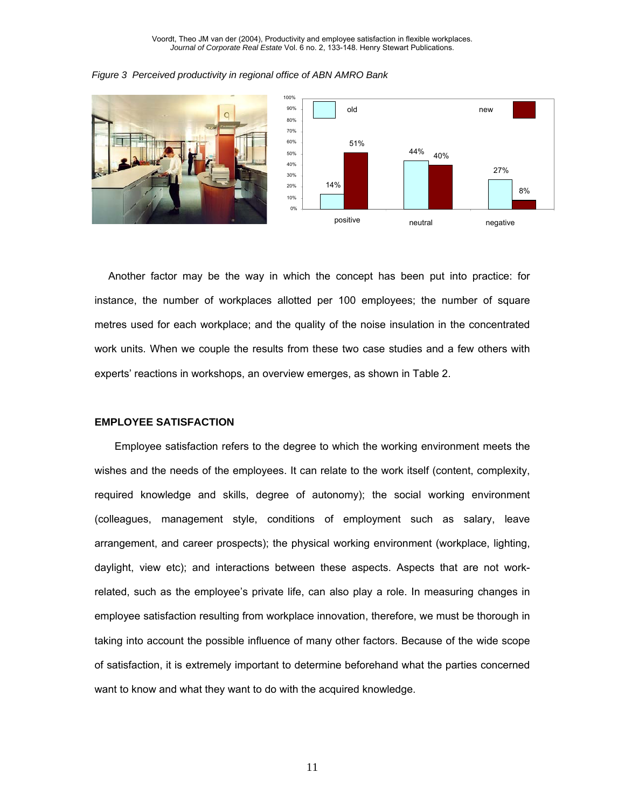



Another factor may be the way in which the concept has been put into practice: for instance, the number of workplaces allotted per 100 employees; the number of square metres used for each workplace; and the quality of the noise insulation in the concentrated work units. When we couple the results from these two case studies and a few others with experts' reactions in workshops, an overview emerges, as shown in Table 2.

### **EMPLOYEE SATISFACTION**

Employee satisfaction refers to the degree to which the working environment meets the wishes and the needs of the employees. It can relate to the work itself (content, complexity, required knowledge and skills, degree of autonomy); the social working environment (colleagues, management style, conditions of employment such as salary, leave arrangement, and career prospects); the physical working environment (workplace, lighting, daylight, view etc); and interactions between these aspects. Aspects that are not workrelated, such as the employee's private life, can also play a role. In measuring changes in employee satisfaction resulting from workplace innovation, therefore, we must be thorough in taking into account the possible influence of many other factors. Because of the wide scope of satisfaction, it is extremely important to determine beforehand what the parties concerned want to know and what they want to do with the acquired knowledge.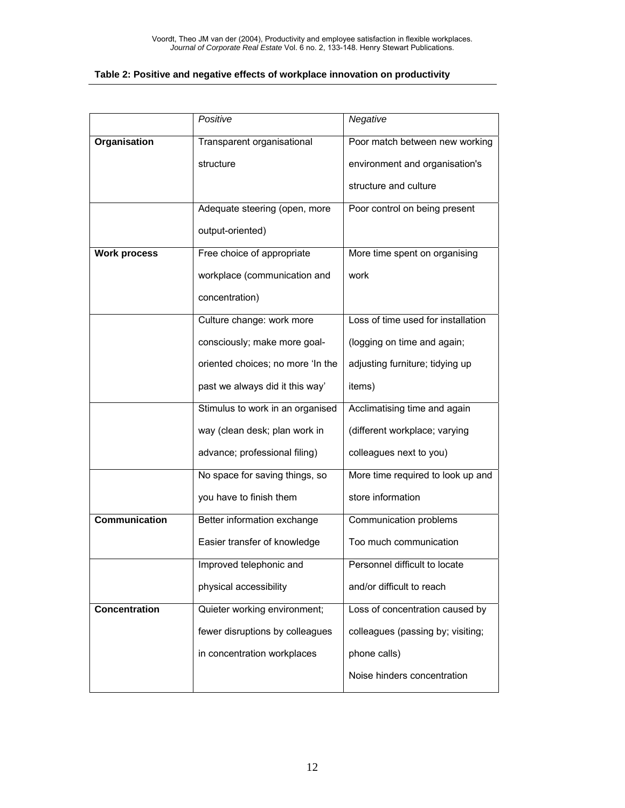## **Table 2: Positive and negative effects of workplace innovation on productivity**

|                      | Positive                          | Negative                           |  |
|----------------------|-----------------------------------|------------------------------------|--|
| <b>Organisation</b>  | Transparent organisational        | Poor match between new working     |  |
|                      | structure                         | environment and organisation's     |  |
|                      |                                   | structure and culture              |  |
|                      | Adequate steering (open, more     | Poor control on being present      |  |
|                      | output-oriented)                  |                                    |  |
| <b>Work process</b>  | Free choice of appropriate        | More time spent on organising      |  |
|                      | workplace (communication and      | work                               |  |
|                      | concentration)                    |                                    |  |
|                      | Culture change: work more         | Loss of time used for installation |  |
|                      | consciously; make more goal-      | (logging on time and again;        |  |
|                      | oriented choices; no more 'In the | adjusting furniture; tidying up    |  |
|                      | past we always did it this way'   | items)                             |  |
|                      | Stimulus to work in an organised  | Acclimatising time and again       |  |
|                      | way (clean desk; plan work in     | (different workplace; varying      |  |
|                      | advance; professional filing)     | colleagues next to you)            |  |
|                      | No space for saving things, so    | More time required to look up and  |  |
|                      | you have to finish them           | store information                  |  |
| <b>Communication</b> | Better information exchange       | Communication problems             |  |
|                      | Easier transfer of knowledge      | Too much communication             |  |
|                      | Improved telephonic and           | Personnel difficult to locate      |  |
|                      | physical accessibility            | and/or difficult to reach          |  |
| <b>Concentration</b> | Quieter working environment;      | Loss of concentration caused by    |  |
|                      | fewer disruptions by colleagues   | colleagues (passing by; visiting;  |  |
|                      | in concentration workplaces       | phone calls)                       |  |
|                      |                                   | Noise hinders concentration        |  |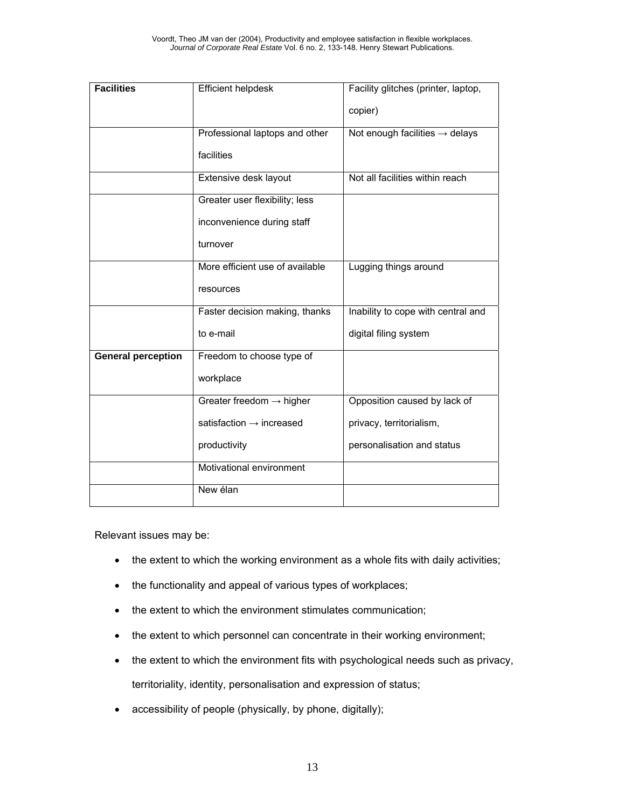| <b>Facilities</b>         | Efficient helpdesk                   | Facility glitches (printer, laptop,<br>copier) |  |
|---------------------------|--------------------------------------|------------------------------------------------|--|
|                           |                                      |                                                |  |
|                           | Professional laptops and other       | Not enough facilities $\rightarrow$ delays     |  |
|                           | facilities                           |                                                |  |
|                           | Extensive desk layout                | Not all facilities within reach                |  |
|                           | Greater user flexibility; less       |                                                |  |
|                           | inconvenience during staff           |                                                |  |
|                           | turnover                             |                                                |  |
|                           | More efficient use of available      | Lugging things around                          |  |
|                           | resources                            |                                                |  |
|                           | Faster decision making, thanks       | Inability to cope with central and             |  |
|                           | to e-mail                            | digital filing system                          |  |
| <b>General perception</b> | Freedom to choose type of            |                                                |  |
|                           | workplace                            |                                                |  |
|                           | Greater freedom $\rightarrow$ higher | Opposition caused by lack of                   |  |
|                           | satisfaction $\rightarrow$ increased | privacy, territorialism,                       |  |
|                           | productivity                         | personalisation and status                     |  |
|                           | Motivational environment             |                                                |  |
|                           | New élan                             |                                                |  |

Relevant issues may be:

- the extent to which the working environment as a whole fits with daily activities;
- the functionality and appeal of various types of workplaces;
- the extent to which the environment stimulates communication;
- the extent to which personnel can concentrate in their working environment;
- the extent to which the environment fits with psychological needs such as privacy, territoriality, identity, personalisation and expression of status;
- accessibility of people (physically, by phone, digitally);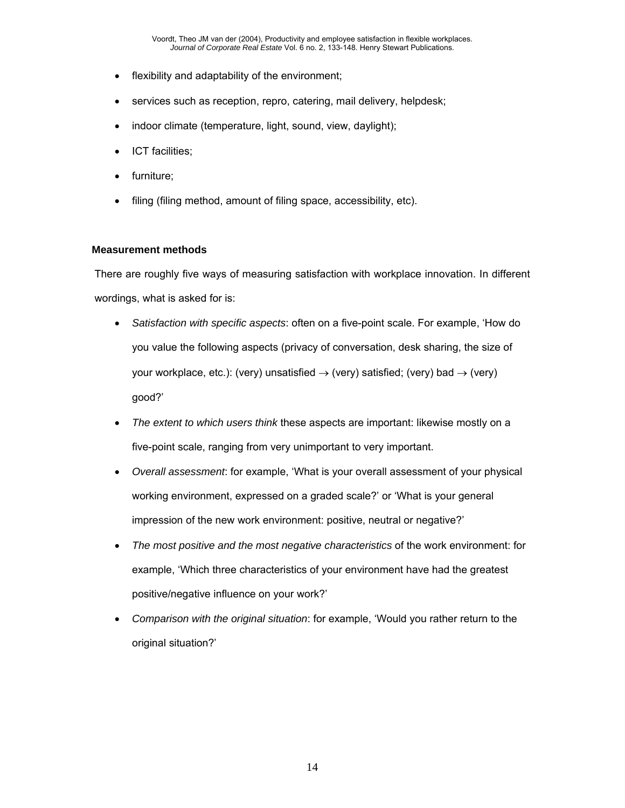- flexibility and adaptability of the environment;
- services such as reception, repro, catering, mail delivery, helpdesk;
- indoor climate (temperature, light, sound, view, daylight);
- ICT facilities;
- furniture;
- filing (filing method, amount of filing space, accessibility, etc).

# **Measurement methods**

There are roughly five ways of measuring satisfaction with workplace innovation. In different wordings, what is asked for is:

- *Satisfaction with specific aspects*: often on a five-point scale. For example, 'How do you value the following aspects (privacy of conversation, desk sharing, the size of your workplace, etc.): (very) unsatisfied  $\rightarrow$  (very) satisfied; (very) bad  $\rightarrow$  (very) good?'
- *The extent to which users think* these aspects are important: likewise mostly on a five-point scale, ranging from very unimportant to very important.
- *Overall assessment*: for example, 'What is your overall assessment of your physical working environment, expressed on a graded scale?' or 'What is your general impression of the new work environment: positive, neutral or negative?'
- *The most positive and the most negative characteristics* of the work environment: for example, 'Which three characteristics of your environment have had the greatest positive/negative influence on your work?'
- *Comparison with the original situation*: for example, 'Would you rather return to the original situation?'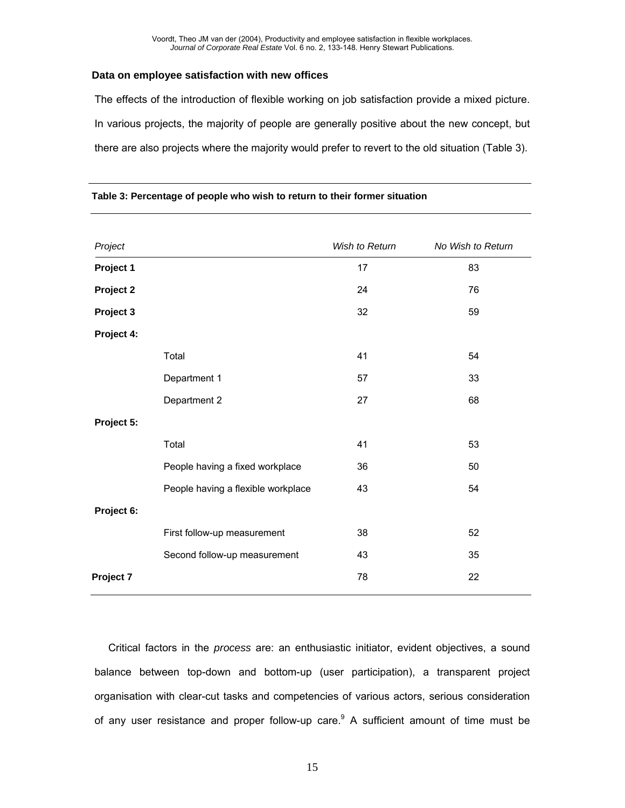## **Data on employee satisfaction with new offices**

The effects of the introduction of flexible working on job satisfaction provide a mixed picture. In various projects, the majority of people are generally positive about the new concept, but there are also projects where the majority would prefer to revert to the old situation (Table 3).

| Project    |                                    | Wish to Return | No Wish to Return |
|------------|------------------------------------|----------------|-------------------|
| Project 1  |                                    | 17             | 83                |
| Project 2  |                                    | 24             | 76                |
| Project 3  |                                    | 32             | 59                |
| Project 4: |                                    |                |                   |
|            | Total                              | 41             | 54                |
|            | Department 1                       | 57             | 33                |
|            | Department 2                       | 27             | 68                |
| Project 5: |                                    |                |                   |
|            | Total                              | 41             | 53                |
|            | People having a fixed workplace    | 36             | 50                |
|            | People having a flexible workplace | 43             | 54                |
| Project 6: |                                    |                |                   |
|            | First follow-up measurement        | 38             | 52                |
|            | Second follow-up measurement       | 43             | 35                |
| Project 7  |                                    | 78             | 22                |
|            |                                    |                |                   |

#### **Table 3: Percentage of people who wish to return to their former situation**

Critical factors in the *process* are: an enthusiastic initiator, evident objectives, a sound balance between top-down and bottom-up (user participation), a transparent project organisation with clear-cut tasks and competencies of various actors, serious consideration of any user resistance and proper follow-up care.<sup>9</sup> A sufficient amount of time must be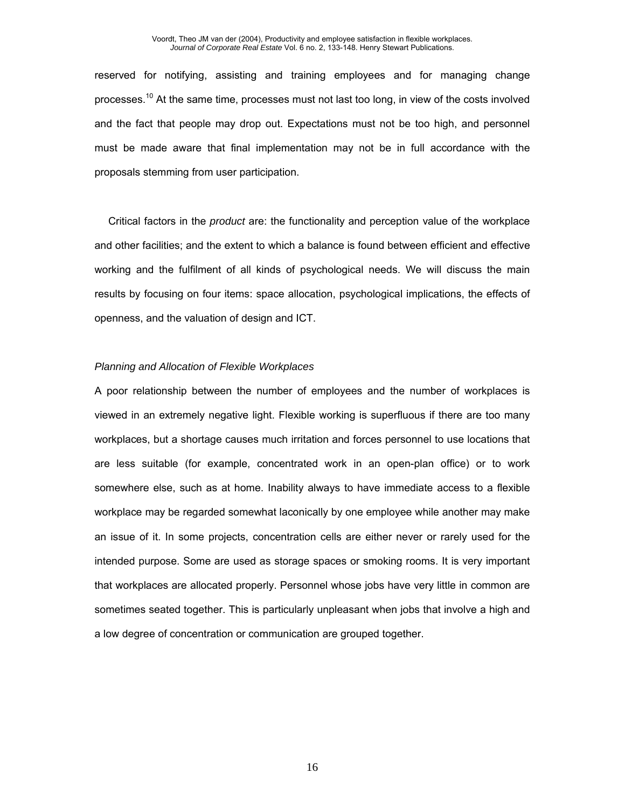reserved for notifying, assisting and training employees and for managing change processes.<sup>10</sup> At the same time, processes must not last too long, in view of the costs involved and the fact that people may drop out. Expectations must not be too high, and personnel must be made aware that final implementation may not be in full accordance with the proposals stemming from user participation.

Critical factors in the *product* are: the functionality and perception value of the workplace and other facilities; and the extent to which a balance is found between efficient and effective working and the fulfilment of all kinds of psychological needs. We will discuss the main results by focusing on four items: space allocation, psychological implications, the effects of openness, and the valuation of design and ICT.

#### *Planning and Allocation of Flexible Workplaces*

A poor relationship between the number of employees and the number of workplaces is viewed in an extremely negative light. Flexible working is superfluous if there are too many workplaces, but a shortage causes much irritation and forces personnel to use locations that are less suitable (for example, concentrated work in an open-plan office) or to work somewhere else, such as at home. Inability always to have immediate access to a flexible workplace may be regarded somewhat laconically by one employee while another may make an issue of it. In some projects, concentration cells are either never or rarely used for the intended purpose. Some are used as storage spaces or smoking rooms. It is very important that workplaces are allocated properly. Personnel whose jobs have very little in common are sometimes seated together. This is particularly unpleasant when jobs that involve a high and a low degree of concentration or communication are grouped together.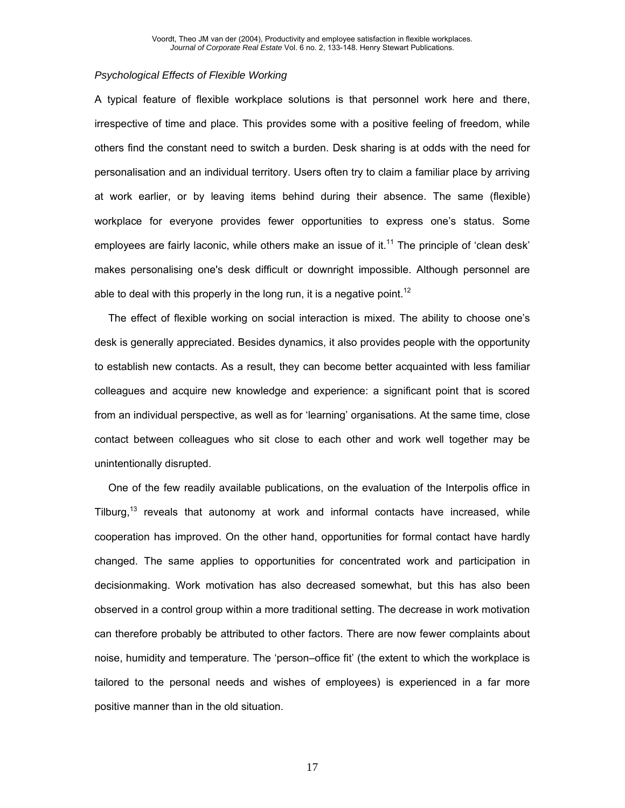# *Psychological Effects of Flexible Working*

A typical feature of flexible workplace solutions is that personnel work here and there, irrespective of time and place. This provides some with a positive feeling of freedom, while others find the constant need to switch a burden. Desk sharing is at odds with the need for personalisation and an individual territory. Users often try to claim a familiar place by arriving at work earlier, or by leaving items behind during their absence. The same (flexible) workplace for everyone provides fewer opportunities to express one's status. Some employees are fairly laconic, while others make an issue of it.<sup>11</sup> The principle of 'clean desk' makes personalising one's desk difficult or downright impossible. Although personnel are able to deal with this properly in the long run, it is a negative point.<sup>12</sup>

The effect of flexible working on social interaction is mixed. The ability to choose one's desk is generally appreciated. Besides dynamics, it also provides people with the opportunity to establish new contacts. As a result, they can become better acquainted with less familiar colleagues and acquire new knowledge and experience: a significant point that is scored from an individual perspective, as well as for 'learning' organisations. At the same time, close contact between colleagues who sit close to each other and work well together may be unintentionally disrupted.

One of the few readily available publications, on the evaluation of the Interpolis office in Tilburg,<sup>13</sup> reveals that autonomy at work and informal contacts have increased, while cooperation has improved. On the other hand, opportunities for formal contact have hardly changed. The same applies to opportunities for concentrated work and participation in decisionmaking. Work motivation has also decreased somewhat, but this has also been observed in a control group within a more traditional setting. The decrease in work motivation can therefore probably be attributed to other factors. There are now fewer complaints about noise, humidity and temperature. The 'person–office fit' (the extent to which the workplace is tailored to the personal needs and wishes of employees) is experienced in a far more positive manner than in the old situation.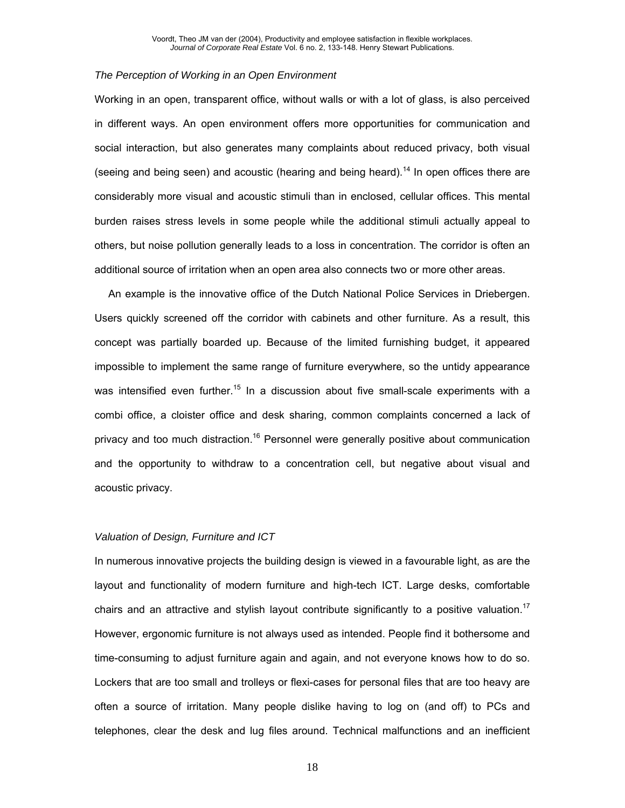#### *The Perception of Working in an Open Environment*

Working in an open, transparent office, without walls or with a lot of glass, is also perceived in different ways. An open environment offers more opportunities for communication and social interaction, but also generates many complaints about reduced privacy, both visual (seeing and being seen) and acoustic (hearing and being heard).<sup>14</sup> In open offices there are considerably more visual and acoustic stimuli than in enclosed, cellular offices. This mental burden raises stress levels in some people while the additional stimuli actually appeal to others, but noise pollution generally leads to a loss in concentration. The corridor is often an additional source of irritation when an open area also connects two or more other areas.

An example is the innovative office of the Dutch National Police Services in Driebergen. Users quickly screened off the corridor with cabinets and other furniture. As a result, this concept was partially boarded up. Because of the limited furnishing budget, it appeared impossible to implement the same range of furniture everywhere, so the untidy appearance was intensified even further.<sup>15</sup> In a discussion about five small-scale experiments with a combi office, a cloister office and desk sharing, common complaints concerned a lack of privacy and too much distraction.<sup>16</sup> Personnel were generally positive about communication and the opportunity to withdraw to a concentration cell, but negative about visual and acoustic privacy.

#### *Valuation of Design, Furniture and ICT*

In numerous innovative projects the building design is viewed in a favourable light, as are the layout and functionality of modern furniture and high-tech ICT. Large desks, comfortable chairs and an attractive and stylish layout contribute significantly to a positive valuation.<sup>17</sup> However, ergonomic furniture is not always used as intended. People find it bothersome and time-consuming to adjust furniture again and again, and not everyone knows how to do so. Lockers that are too small and trolleys or flexi-cases for personal files that are too heavy are often a source of irritation. Many people dislike having to log on (and off) to PCs and telephones, clear the desk and lug files around. Technical malfunctions and an inefficient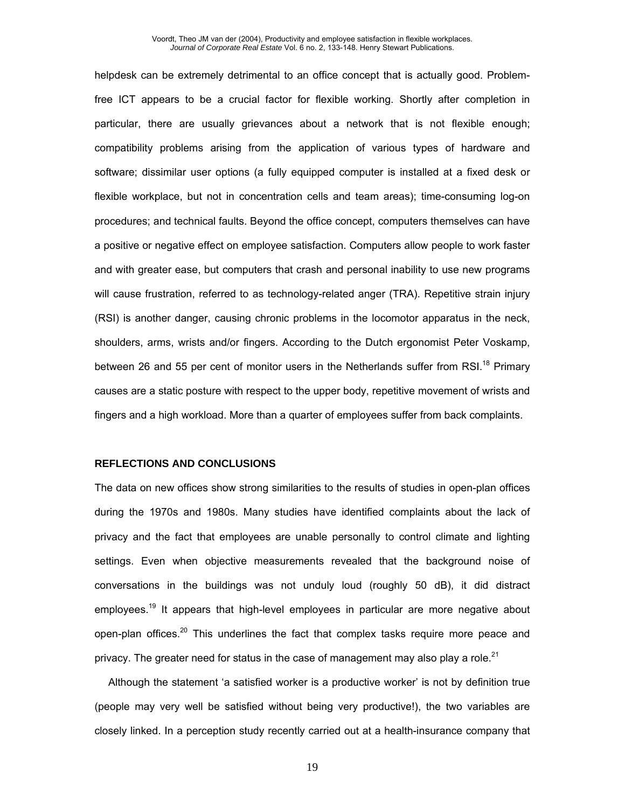helpdesk can be extremely detrimental to an office concept that is actually good. Problemfree ICT appears to be a crucial factor for flexible working. Shortly after completion in particular, there are usually grievances about a network that is not flexible enough; compatibility problems arising from the application of various types of hardware and software; dissimilar user options (a fully equipped computer is installed at a fixed desk or flexible workplace, but not in concentration cells and team areas); time-consuming log-on procedures; and technical faults. Beyond the office concept, computers themselves can have a positive or negative effect on employee satisfaction. Computers allow people to work faster and with greater ease, but computers that crash and personal inability to use new programs will cause frustration, referred to as technology-related anger (TRA). Repetitive strain injury (RSI) is another danger, causing chronic problems in the locomotor apparatus in the neck, shoulders, arms, wrists and/or fingers. According to the Dutch ergonomist Peter Voskamp, between 26 and 55 per cent of monitor users in the Netherlands suffer from RSI.<sup>18</sup> Primary causes are a static posture with respect to the upper body, repetitive movement of wrists and fingers and a high workload. More than a quarter of employees suffer from back complaints.

#### **REFLECTIONS AND CONCLUSIONS**

The data on new offices show strong similarities to the results of studies in open-plan offices during the 1970s and 1980s. Many studies have identified complaints about the lack of privacy and the fact that employees are unable personally to control climate and lighting settings. Even when objective measurements revealed that the background noise of conversations in the buildings was not unduly loud (roughly 50 dB), it did distract employees.<sup>19</sup> It appears that high-level employees in particular are more negative about open-plan offices.<sup>20</sup> This underlines the fact that complex tasks require more peace and privacy. The greater need for status in the case of management may also play a role.<sup>21</sup>

Although the statement 'a satisfied worker is a productive worker' is not by definition true (people may very well be satisfied without being very productive!), the two variables are closely linked. In a perception study recently carried out at a health-insurance company that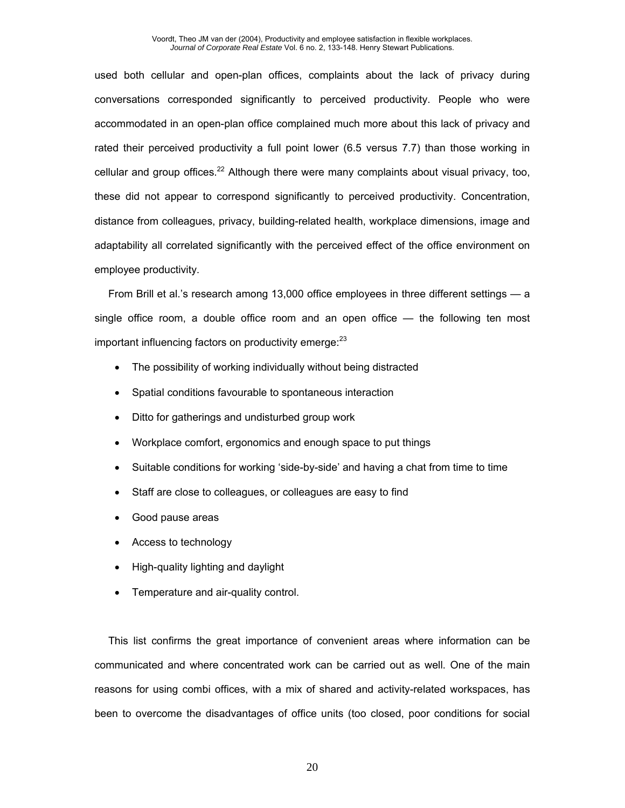used both cellular and open-plan offices, complaints about the lack of privacy during conversations corresponded significantly to perceived productivity. People who were accommodated in an open-plan office complained much more about this lack of privacy and rated their perceived productivity a full point lower (6.5 versus 7.7) than those working in cellular and group offices.<sup>22</sup> Although there were many complaints about visual privacy, too, these did not appear to correspond significantly to perceived productivity. Concentration, distance from colleagues, privacy, building-related health, workplace dimensions, image and adaptability all correlated significantly with the perceived effect of the office environment on employee productivity.

From Brill et al.'s research among 13,000 office employees in three different settings — a single office room, a double office room and an open office — the following ten most important influencing factors on productivity emerge: $^{23}$ 

- The possibility of working individually without being distracted
- Spatial conditions favourable to spontaneous interaction
- Ditto for gatherings and undisturbed group work
- Workplace comfort, ergonomics and enough space to put things
- Suitable conditions for working 'side-by-side' and having a chat from time to time
- Staff are close to colleagues, or colleagues are easy to find
- Good pause areas
- Access to technology
- High-quality lighting and daylight
- Temperature and air-quality control.

This list confirms the great importance of convenient areas where information can be communicated and where concentrated work can be carried out as well. One of the main reasons for using combi offices, with a mix of shared and activity-related workspaces, has been to overcome the disadvantages of office units (too closed, poor conditions for social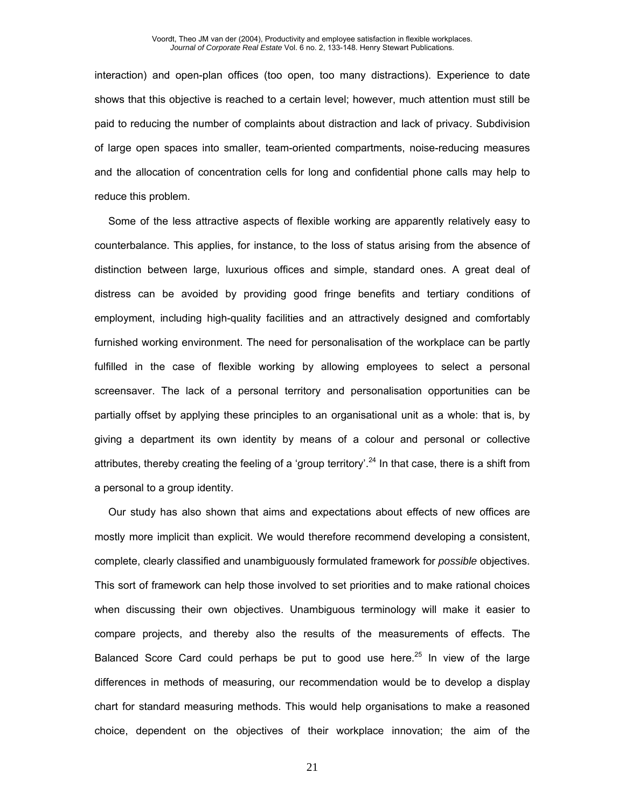interaction) and open-plan offices (too open, too many distractions). Experience to date shows that this objective is reached to a certain level; however, much attention must still be paid to reducing the number of complaints about distraction and lack of privacy. Subdivision of large open spaces into smaller, team-oriented compartments, noise-reducing measures and the allocation of concentration cells for long and confidential phone calls may help to reduce this problem.

Some of the less attractive aspects of flexible working are apparently relatively easy to counterbalance. This applies, for instance, to the loss of status arising from the absence of distinction between large, luxurious offices and simple, standard ones. A great deal of distress can be avoided by providing good fringe benefits and tertiary conditions of employment, including high-quality facilities and an attractively designed and comfortably furnished working environment. The need for personalisation of the workplace can be partly fulfilled in the case of flexible working by allowing employees to select a personal screensaver. The lack of a personal territory and personalisation opportunities can be partially offset by applying these principles to an organisational unit as a whole: that is, by giving a department its own identity by means of a colour and personal or collective attributes, thereby creating the feeling of a 'group territory'.<sup>24</sup> In that case, there is a shift from a personal to a group identity.

Our study has also shown that aims and expectations about effects of new offices are mostly more implicit than explicit. We would therefore recommend developing a consistent, complete, clearly classified and unambiguously formulated framework for *possible* objectives. This sort of framework can help those involved to set priorities and to make rational choices when discussing their own objectives. Unambiguous terminology will make it easier to compare projects, and thereby also the results of the measurements of effects. The Balanced Score Card could perhaps be put to good use here.<sup>25</sup> In view of the large differences in methods of measuring, our recommendation would be to develop a display chart for standard measuring methods. This would help organisations to make a reasoned choice, dependent on the objectives of their workplace innovation; the aim of the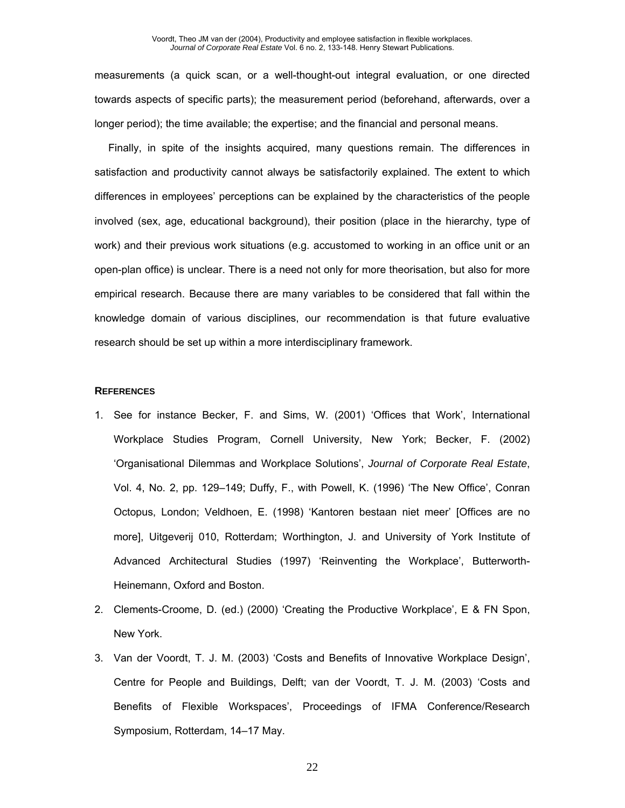measurements (a quick scan, or a well-thought-out integral evaluation, or one directed towards aspects of specific parts); the measurement period (beforehand, afterwards, over a longer period); the time available; the expertise; and the financial and personal means.

Finally, in spite of the insights acquired, many questions remain. The differences in satisfaction and productivity cannot always be satisfactorily explained. The extent to which differences in employees' perceptions can be explained by the characteristics of the people involved (sex, age, educational background), their position (place in the hierarchy, type of work) and their previous work situations (e.g. accustomed to working in an office unit or an open-plan office) is unclear. There is a need not only for more theorisation, but also for more empirical research. Because there are many variables to be considered that fall within the knowledge domain of various disciplines, our recommendation is that future evaluative research should be set up within a more interdisciplinary framework.

#### **REFERENCES**

- 1. See for instance Becker, F. and Sims, W. (2001) 'Offices that Work', International Workplace Studies Program, Cornell University, New York; Becker, F. (2002) 'Organisational Dilemmas and Workplace Solutions', *Journal of Corporate Real Estate*, Vol. 4, No. 2, pp. 129–149; Duffy, F., with Powell, K. (1996) 'The New Office', Conran Octopus, London; Veldhoen, E. (1998) 'Kantoren bestaan niet meer' [Offices are no more], Uitgeverij 010, Rotterdam; Worthington, J. and University of York Institute of Advanced Architectural Studies (1997) 'Reinventing the Workplace', Butterworth-Heinemann, Oxford and Boston.
- 2. Clements-Croome, D. (ed.) (2000) 'Creating the Productive Workplace', E & FN Spon, New York.
- 3. Van der Voordt, T. J. M. (2003) 'Costs and Benefits of Innovative Workplace Design', Centre for People and Buildings, Delft; van der Voordt, T. J. M. (2003) 'Costs and Benefits of Flexible Workspaces', Proceedings of IFMA Conference/Research Symposium, Rotterdam, 14–17 May.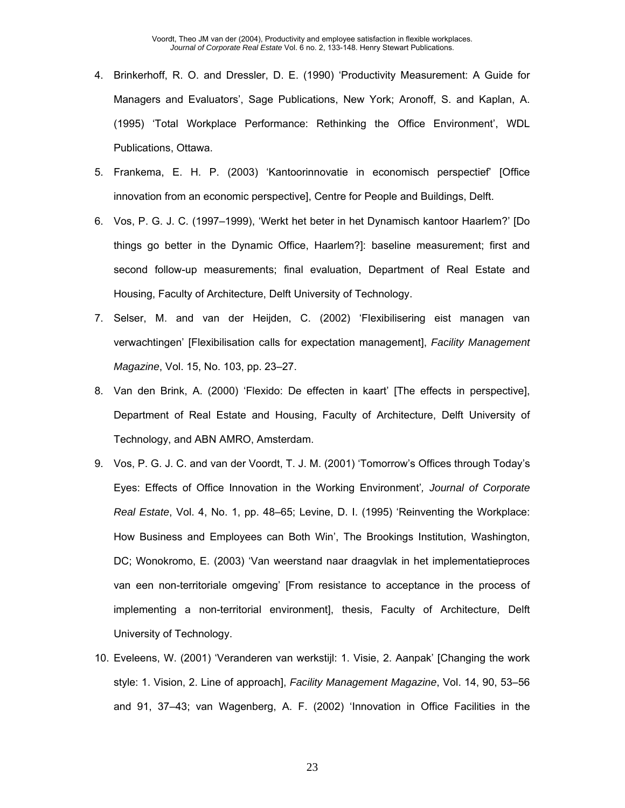- 4. Brinkerhoff, R. O. and Dressler, D. E. (1990) 'Productivity Measurement: A Guide for Managers and Evaluators', Sage Publications, New York; Aronoff, S. and Kaplan, A. (1995) 'Total Workplace Performance: Rethinking the Office Environment', WDL Publications, Ottawa.
- 5. Frankema, E. H. P. (2003) 'Kantoorinnovatie in economisch perspectief' [Office innovation from an economic perspective], Centre for People and Buildings, Delft.
- 6. Vos, P. G. J. C. (1997–1999), 'Werkt het beter in het Dynamisch kantoor Haarlem?' [Do things go better in the Dynamic Office, Haarlem?]: baseline measurement; first and second follow-up measurements; final evaluation, Department of Real Estate and Housing, Faculty of Architecture, Delft University of Technology.
- 7. Selser, M. and van der Heijden, C. (2002) 'Flexibilisering eist managen van verwachtingen' [Flexibilisation calls for expectation management], *Facility Management Magazine*, Vol. 15, No. 103, pp. 23–27.
- 8. Van den Brink, A. (2000) 'Flexido: De effecten in kaart' [The effects in perspective], Department of Real Estate and Housing, Faculty of Architecture, Delft University of Technology, and ABN AMRO, Amsterdam.
- 9. Vos, P. G. J. C. and van der Voordt, T. J. M. (2001) 'Tomorrow's Offices through Today's Eyes: Effects of Office Innovation in the Working Environment'*, Journal of Corporate Real Estate*, Vol. 4, No. 1, pp. 48–65; Levine, D. I. (1995) 'Reinventing the Workplace: How Business and Employees can Both Win', The Brookings Institution, Washington, DC; Wonokromo, E. (2003) 'Van weerstand naar draagvlak in het implementatieproces van een non-territoriale omgeving' [From resistance to acceptance in the process of implementing a non-territorial environment], thesis, Faculty of Architecture, Delft University of Technology.
- 10. Eveleens, W. (2001) 'Veranderen van werkstijl: 1. Visie, 2. Aanpak' [Changing the work style: 1. Vision, 2. Line of approach], *Facility Management Magazine*, Vol. 14, 90, 53–56 and 91, 37–43; van Wagenberg, A. F. (2002) 'Innovation in Office Facilities in the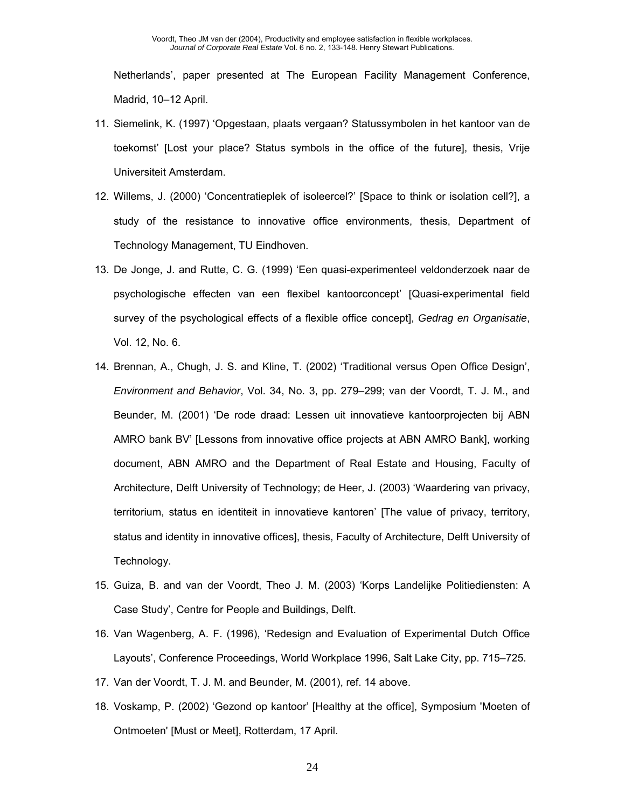Netherlands', paper presented at The European Facility Management Conference, Madrid, 10–12 April.

- 11. Siemelink, K. (1997) 'Opgestaan, plaats vergaan? Statussymbolen in het kantoor van de toekomst' [Lost your place? Status symbols in the office of the future], thesis, Vrije Universiteit Amsterdam.
- 12. Willems, J. (2000) 'Concentratieplek of isoleercel?' [Space to think or isolation cell?], a study of the resistance to innovative office environments, thesis, Department of Technology Management, TU Eindhoven.
- 13. De Jonge, J. and Rutte, C. G. (1999) 'Een quasi-experimenteel veldonderzoek naar de psychologische effecten van een flexibel kantoorconcept' [Quasi-experimental field survey of the psychological effects of a flexible office concept], *Gedrag en Organisatie*, Vol. 12, No. 6.
- 14. Brennan, A., Chugh, J. S. and Kline, T. (2002) 'Traditional versus Open Office Design', *Environment and Behavior*, Vol. 34, No. 3, pp. 279–299; van der Voordt, T. J. M., and Beunder, M. (2001) 'De rode draad: Lessen uit innovatieve kantoorprojecten bij ABN AMRO bank BV' [Lessons from innovative office projects at ABN AMRO Bank], working document, ABN AMRO and the Department of Real Estate and Housing, Faculty of Architecture, Delft University of Technology; de Heer, J. (2003) 'Waardering van privacy, territorium, status en identiteit in innovatieve kantoren' [The value of privacy, territory, status and identity in innovative offices], thesis, Faculty of Architecture, Delft University of Technology.
- 15. Guiza, B. and van der Voordt, Theo J. M. (2003) 'Korps Landelijke Politiediensten: A Case Study', Centre for People and Buildings, Delft.
- 16. Van Wagenberg, A. F. (1996), 'Redesign and Evaluation of Experimental Dutch Office Layouts', Conference Proceedings, World Workplace 1996, Salt Lake City, pp. 715–725.
- 17. Van der Voordt, T. J. M. and Beunder, M. (2001), ref. 14 above.
- 18. Voskamp, P. (2002) 'Gezond op kantoor' [Healthy at the office], Symposium 'Moeten of Ontmoeten' [Must or Meet], Rotterdam, 17 April.